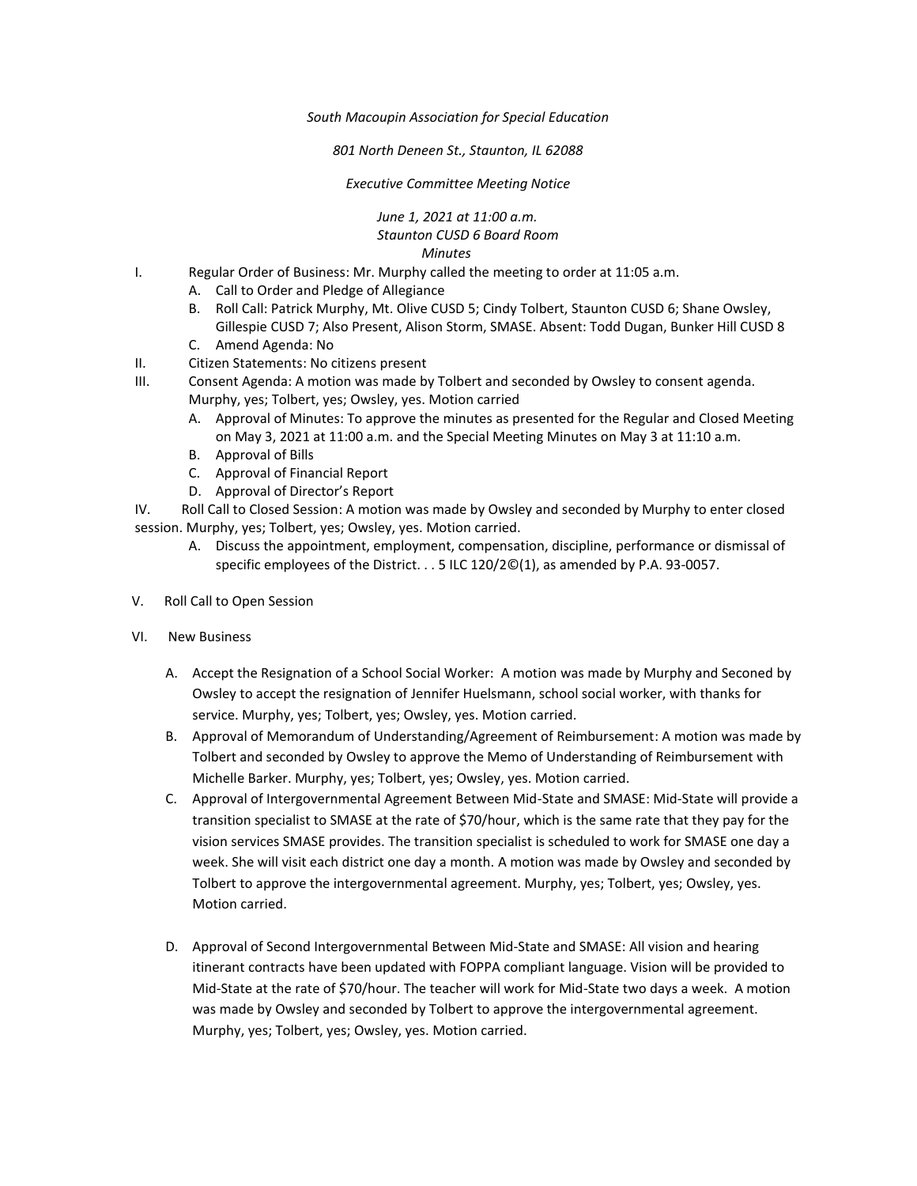*South Macoupin Association for Special Education* 

*801 North Deneen St., Staunton, IL 62088* 

*Executive Committee Meeting Notice*

*June 1, 2021 at 11:00 a.m. Staunton CUSD 6 Board Room Minutes*

- I. Regular Order of Business: Mr. Murphy called the meeting to order at 11:05 a.m.
	- A. Call to Order and Pledge of Allegiance
	- B. Roll Call: Patrick Murphy, Mt. Olive CUSD 5; Cindy Tolbert, Staunton CUSD 6; Shane Owsley, Gillespie CUSD 7; Also Present, Alison Storm, SMASE. Absent: Todd Dugan, Bunker Hill CUSD 8
	- C. Amend Agenda: No
- II. Citizen Statements: No citizens present
- III. Consent Agenda: A motion was made by Tolbert and seconded by Owsley to consent agenda. Murphy, yes; Tolbert, yes; Owsley, yes. Motion carried
	- A. Approval of Minutes: To approve the minutes as presented for the Regular and Closed Meeting on May 3, 2021 at 11:00 a.m. and the Special Meeting Minutes on May 3 at 11:10 a.m.
	- B. Approval of Bills
	- C. Approval of Financial Report
	- D. Approval of Director's Report

IV. Roll Call to Closed Session: A motion was made by Owsley and seconded by Murphy to enter closed session. Murphy, yes; Tolbert, yes; Owsley, yes. Motion carried.

- A. Discuss the appointment, employment, compensation, discipline, performance or dismissal of specific employees of the District. . . 5 ILC 120/2©(1), as amended by P.A. 93-0057.
- V. Roll Call to Open Session
- VI. New Business
	- A. Accept the Resignation of a School Social Worker: A motion was made by Murphy and Seconed by Owsley to accept the resignation of Jennifer Huelsmann, school social worker, with thanks for service. Murphy, yes; Tolbert, yes; Owsley, yes. Motion carried.
	- B. Approval of Memorandum of Understanding/Agreement of Reimbursement: A motion was made by Tolbert and seconded by Owsley to approve the Memo of Understanding of Reimbursement with Michelle Barker. Murphy, yes; Tolbert, yes; Owsley, yes. Motion carried.
	- C. Approval of Intergovernmental Agreement Between Mid-State and SMASE: Mid-State will provide a transition specialist to SMASE at the rate of \$70/hour, which is the same rate that they pay for the vision services SMASE provides. The transition specialist is scheduled to work for SMASE one day a week. She will visit each district one day a month. A motion was made by Owsley and seconded by Tolbert to approve the intergovernmental agreement. Murphy, yes; Tolbert, yes; Owsley, yes. Motion carried.
	- D. Approval of Second Intergovernmental Between Mid-State and SMASE: All vision and hearing itinerant contracts have been updated with FOPPA compliant language. Vision will be provided to Mid-State at the rate of \$70/hour. The teacher will work for Mid-State two days a week. A motion was made by Owsley and seconded by Tolbert to approve the intergovernmental agreement. Murphy, yes; Tolbert, yes; Owsley, yes. Motion carried.